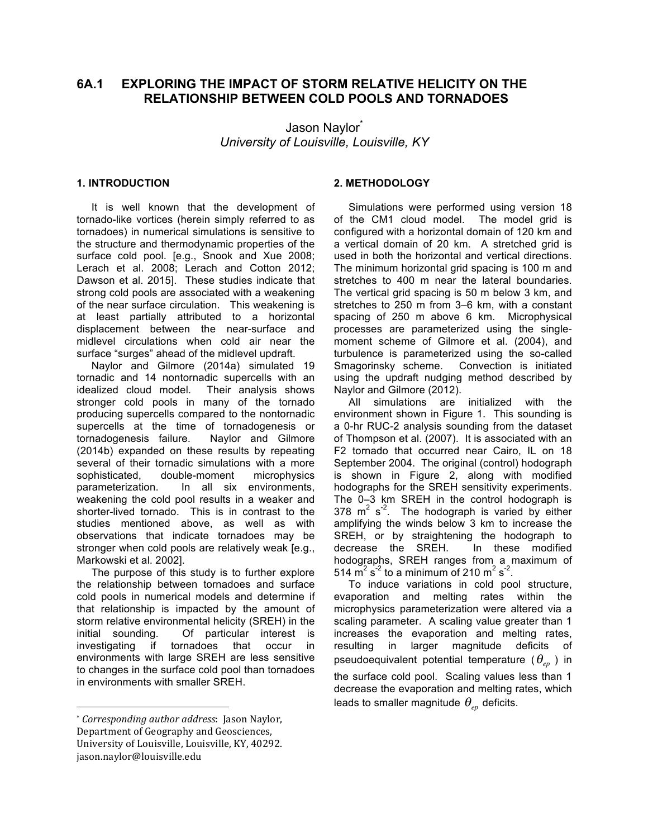# **6A.1 EXPLORING THE IMPACT OF STORM RELATIVE HELICITY ON THE RELATIONSHIP BETWEEN COLD POOLS AND TORNADOES**

Jason Naylor *University of Louisville, Louisville, KY*

### **1. INTRODUCTION<sup>1</sup>**

 It is well known that the development of tornado-like vortices (herein simply referred to as tornadoes) in numerical simulations is sensitive to the structure and thermodynamic properties of the surface cold pool. [e.g., Snook and Xue 2008; Lerach et al. 2008; Lerach and Cotton 2012; Dawson et al. 2015]. These studies indicate that strong cold pools are associated with a weakening of the near surface circulation. This weakening is at least partially attributed to a horizontal displacement between the near-surface and midlevel circulations when cold air near the surface "surges" ahead of the midlevel updraft.

 Naylor and Gilmore (2014a) simulated 19 tornadic and 14 nontornadic supercells with an idealized cloud model. Their analysis shows stronger cold pools in many of the tornado producing supercells compared to the nontornadic supercells at the time of tornadogenesis or tornadogenesis failure. Naylor and Gilmore (2014b) expanded on these results by repeating several of their tornadic simulations with a more sophisticated, double-moment microphysics parameterization. In all six environments, weakening the cold pool results in a weaker and shorter-lived tornado. This is in contrast to the studies mentioned above, as well as with observations that indicate tornadoes may be stronger when cold pools are relatively weak [e.g., Markowski et al. 2002].

 The purpose of this study is to further explore the relationship between tornadoes and surface cold pools in numerical models and determine if that relationship is impacted by the amount of storm relative environmental helicity (SREH) in the initial sounding. Of particular interest is investigating if tornadoes that occur in environments with large SREH are less sensitive to changes in the surface cold pool than tornadoes in environments with smaller SREH.

## **2. METHODOLOGY**

 Simulations were performed using version 18 of the CM1 cloud model. The model grid is configured with a horizontal domain of 120 km and a vertical domain of 20 km. A stretched grid is used in both the horizontal and vertical directions. The minimum horizontal grid spacing is 100 m and stretches to 400 m near the lateral boundaries. The vertical grid spacing is 50 m below 3 km, and stretches to 250 m from 3–6 km, with a constant spacing of 250 m above 6 km. Microphysical processes are parameterized using the singlemoment scheme of Gilmore et al. (2004), and turbulence is parameterized using the so-called Smagorinsky scheme. Convection is initiated using the updraft nudging method described by Naylor and Gilmore (2012).

 All simulations are initialized with the environment shown in Figure 1. This sounding is a 0-hr RUC-2 analysis sounding from the dataset of Thompson et al. (2007). It is associated with an F2 tornado that occurred near Cairo, IL on 18 September 2004. The original (control) hodograph is shown in Figure 2, along with modified hodographs for the SREH sensitivity experiments. The 0–3 km SREH in the control hodograph is 378  $m^2$  s<sup>-2</sup>. The hodograph is varied by either amplifying the winds below 3 km to increase the SREH, or by straightening the hodograph to decrease the SREH. In these modified hodographs, SREH ranges from a maximum of 514  $\mathrm{m}^2 \mathrm{s}^2$  to a minimum of 210  $\mathrm{m}^2 \mathrm{s}^2$ .

 To induce variations in cold pool structure, evaporation and melting rates within the microphysics parameterization were altered via a scaling parameter. A scaling value greater than 1 increases the evaporation and melting rates, resulting in larger magnitude deficits of pseudoequivalent potential temperature ( $\theta_{_{ep}}$ ) in the surface cold pool. Scaling values less than 1 decrease the evaporation and melting rates, which leads to smaller magnitude  $\,\theta_{_{ep}}$  deficits.

 

<sup>\*</sup> *Corresponding author address*: Jason Naylor, Department of Geography and Geosciences, University of Louisville, Louisville, KY, 40292. jason.naylor@louisville.edu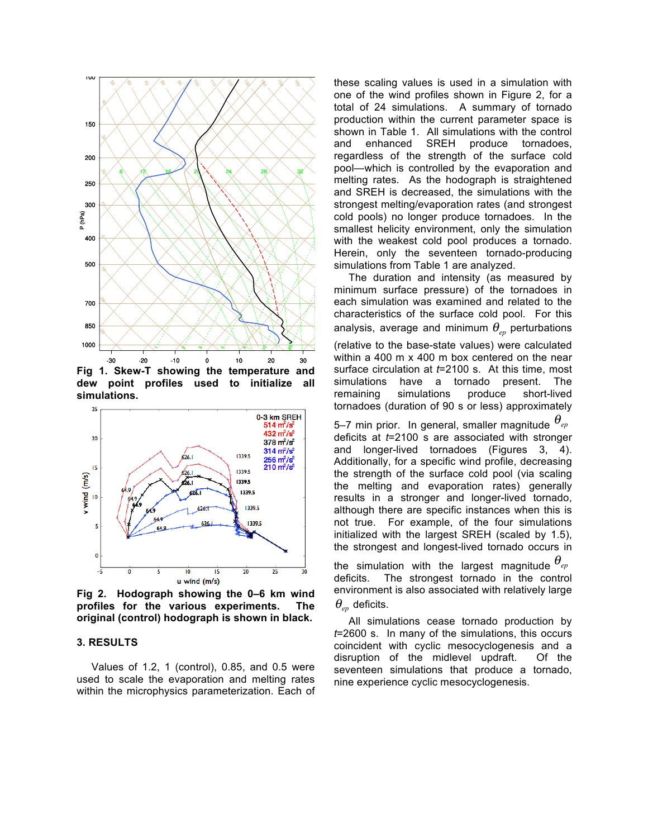

**Fig 1. Skew-T showing the temperature and dew point profiles used to initialize all simulations.**



**Fig 2. Hodograph showing the 0–6 km wind profiles for the various experiments. The original (control) hodograph is shown in black.**

#### **3. RESULTS**

 Values of 1.2, 1 (control), 0.85, and 0.5 were used to scale the evaporation and melting rates within the microphysics parameterization. Each of

these scaling values is used in a simulation with one of the wind profiles shown in Figure 2, for a total of 24 simulations. A summary of tornado production within the current parameter space is shown in Table 1. All simulations with the control and enhanced SREH produce tornadoes, regardless of the strength of the surface cold pool—which is controlled by the evaporation and melting rates. As the hodograph is straightened and SREH is decreased, the simulations with the strongest melting/evaporation rates (and strongest cold pools) no longer produce tornadoes. In the smallest helicity environment, only the simulation with the weakest cold pool produces a tornado. Herein, only the seventeen tornado-producing simulations from Table 1 are analyzed.

 The duration and intensity (as measured by minimum surface pressure) of the tornadoes in each simulation was examined and related to the characteristics of the surface cold pool. For this analysis, average and minimum  $\theta_{_{ep}}$  perturbations (relative to the base-state values) were calculated within a 400 m x 400 m box centered on the near surface circulation at *t*=2100 s. At this time, most simulations have a tornado present. The remaining simulations produce short-lived tornadoes (duration of 90 s or less) approximately

5–7 min prior. In general, smaller magnitude θ*ep* deficits at *t*=2100 s are associated with stronger and longer-lived tornadoes (Figures 3, 4). Additionally, for a specific wind profile, decreasing the strength of the surface cold pool (via scaling the melting and evaporation rates) generally results in a stronger and longer-lived tornado, although there are specific instances when this is not true. For example, of the four simulations initialized with the largest SREH (scaled by 1.5), the strongest and longest-lived tornado occurs in

the simulation with the largest magnitude θ*ep* deficits. The strongest tornado in the control environment is also associated with relatively large  $\theta_{\tiny{ep}}$  deficits.

 All simulations cease tornado production by *t*=2600 s. In many of the simulations, this occurs coincident with cyclic mesocyclogenesis and a disruption of the midlevel updraft. Of the seventeen simulations that produce a tornado, nine experience cyclic mesocyclogenesis.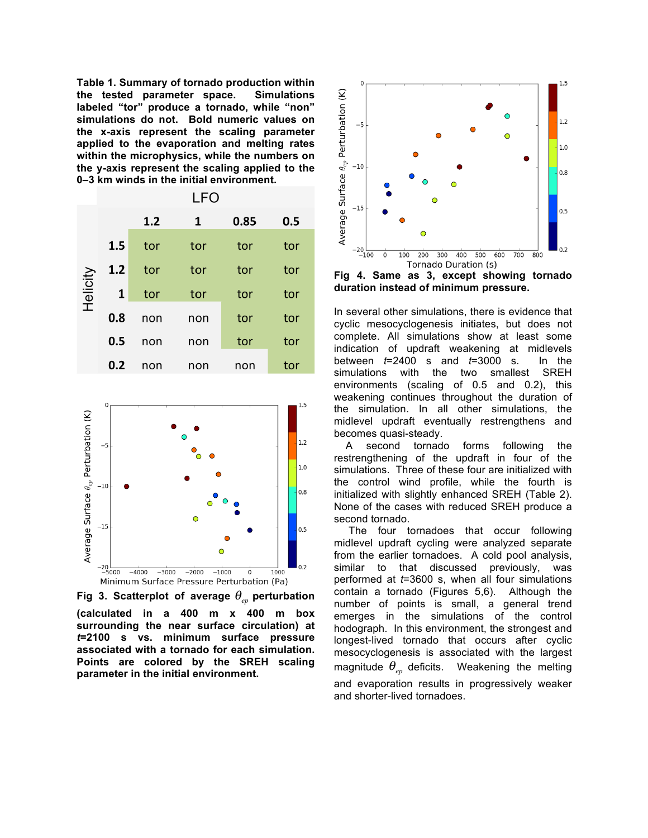**Table 1. Summary of tornado production within the tested parameter space. Simulations labeled "tor" produce a tornado, while "non" simulations do not. Bold numeric values on the x-axis represent the scaling parameter applied to the evaporation and melting rates within the microphysics, while the numbers on the y-axis represent the scaling applied to the 0–3 km winds in the initial environment.**





Fig 3. Scatterplot of average  $\theta_{_{ep}}$  perturbation **(calculated in a 400 m x 400 m box surrounding the near surface circulation) at**  *t***=2100 s vs. minimum surface pressure associated with a tornado for each simulation. Points are colored by the SREH scaling parameter in the initial environment.**



**Fig 4. Same as 3, except showing tornado duration instead of minimum pressure.**

In several other simulations, there is evidence that cyclic mesocyclogenesis initiates, but does not complete. All simulations show at least some indication of updraft weakening at midlevels between *t*=2400 s and *t*=3000 s. In the simulations with the two smallest SREH environments (scaling of 0.5 and 0.2), this weakening continues throughout the duration of the simulation. In all other simulations, the midlevel updraft eventually restrengthens and becomes quasi-steady.

 A second tornado forms following the restrengthening of the updraft in four of the simulations. Three of these four are initialized with the control wind profile, while the fourth is initialized with slightly enhanced SREH (Table 2). None of the cases with reduced SREH produce a second tornado.

 The four tornadoes that occur following midlevel updraft cycling were analyzed separate from the earlier tornadoes. A cold pool analysis, similar to that discussed previously, was performed at *t*=3600 s, when all four simulations contain a tornado (Figures 5,6). Although the number of points is small, a general trend emerges in the simulations of the control hodograph. In this environment, the strongest and longest-lived tornado that occurs after cyclic mesocyclogenesis is associated with the largest magnitude  $\theta_{_{ep}}$  deficits. Weakening the melting and evaporation results in progressively weaker and shorter-lived tornadoes.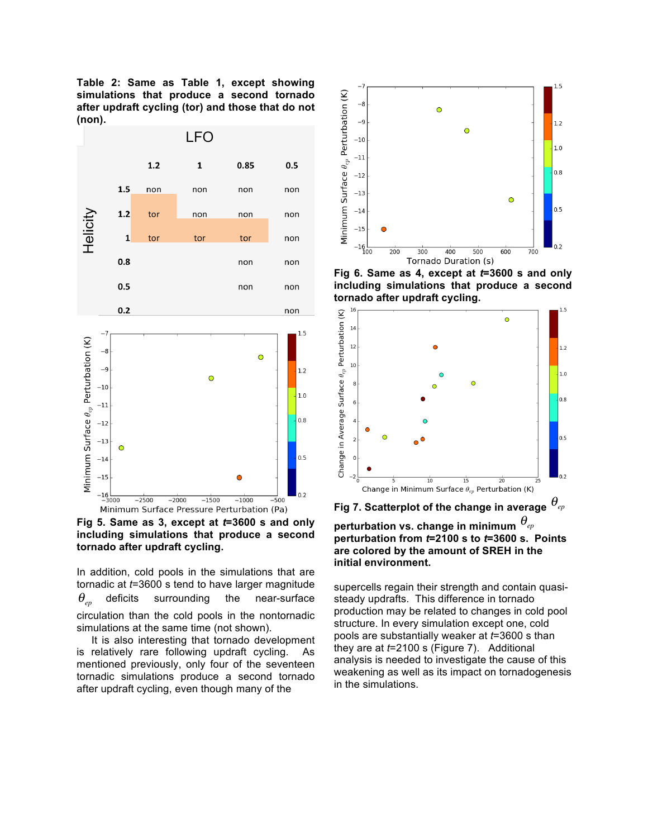**Table 2: Same as Table 1, except showing simulations that produce a second tornado after updraft cycling (tor) and those that do not (non).**



**Fig 5. Same as 3, except at** *t***=3600 s and only including simulations that produce a second tornado after updraft cycling.**

In addition, cold pools in the simulations that are tornadic at *t*=3600 s tend to have larger magnitude deficits surrounding the near-surface circulation than the cold pools in the nontornadic simulations at the same time (not shown).  $\theta_{\scriptscriptstyle e\scriptscriptstyle p}$ 

 It is also interesting that tornado development is relatively rare following updraft cycling. As mentioned previously, only four of the seventeen tornadic simulations produce a second tornado after updraft cycling, even though many of the



**Fig 6. Same as 4, except at** *t***=3600 s and only including simulations that produce a second tornado after updraft cycling.**



**Fig 7. Scatterplot of the change in average**  θ*ep*

**perturbation vs. change in minimum**  θ*ep***perturbation from** *t***=2100 s to** *t***=3600 s. Points are colored by the amount of SREH in the initial environment.**

supercells regain their strength and contain quasisteady updrafts. This difference in tornado production may be related to changes in cold pool structure. In every simulation except one, cold pools are substantially weaker at *t*=3600 s than they are at *t*=2100 s (Figure 7). Additional analysis is needed to investigate the cause of this weakening as well as its impact on tornadogenesis in the simulations.